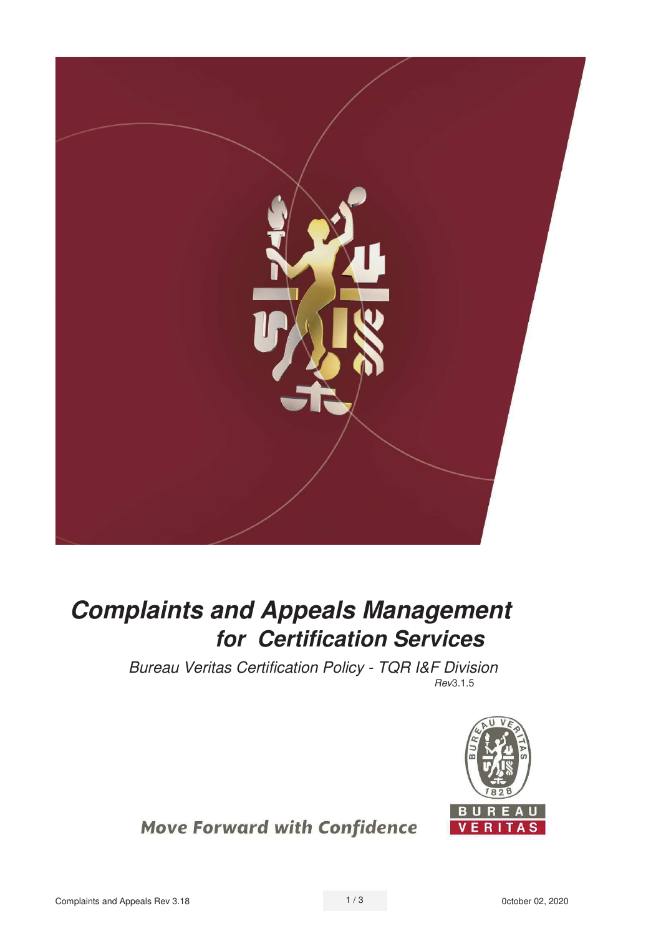

# **Complaints and Appeals Management for Certification Services**

Bureau Veritas Certification Policy - TQR I&F Division Rev3.1.5



**Move Forward with Confidence**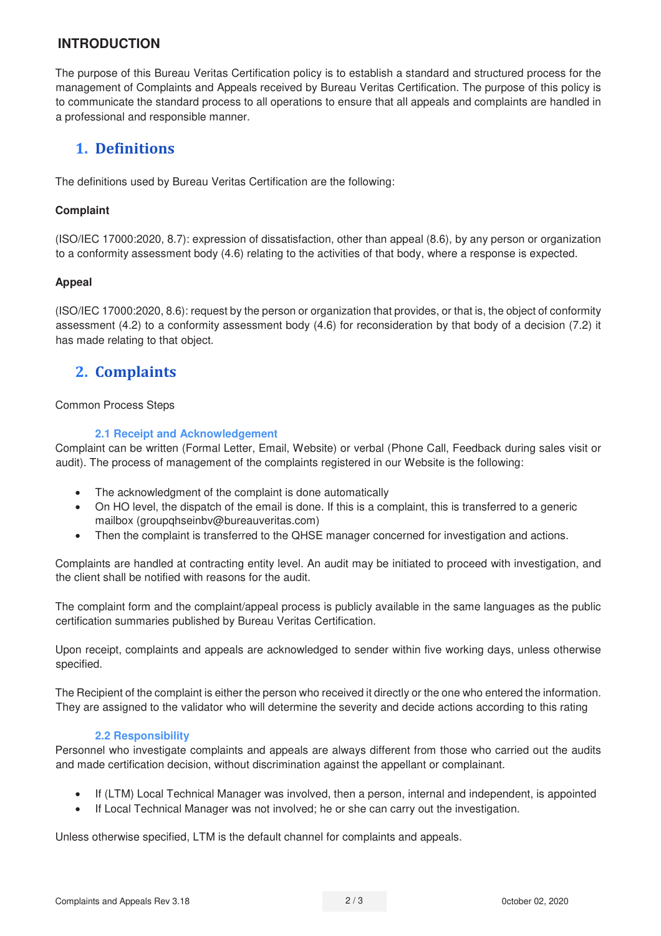### **INTRODUCTION**

The purpose of this Bureau Veritas Certification policy is to establish a standard and structured process for the management of Complaints and Appeals received by Bureau Veritas Certification. The purpose of this policy is to communicate the standard process to all operations to ensure that all appeals and complaints are handled in a professional and responsible manner.

## 1. Definitions

The definitions used by Bureau Veritas Certification are the following:

#### **Complaint**

(ISO/IEC 17000:2020, 8.7): expression of dissatisfaction, other than appeal (8.6), by any person or organization to a conformity assessment body (4.6) relating to the activities of that body, where a response is expected.

#### **Appeal**

(ISO/IEC 17000:2020, 8.6): request by the person or organization that provides, or that is, the object of conformity assessment (4.2) to a conformity assessment body (4.6) for reconsideration by that body of a decision (7.2) it has made relating to that object.

# 2. Complaints

#### Common Process Steps

#### **2.1 Receipt and Acknowledgement**

Complaint can be written (Formal Letter, Email, Website) or verbal (Phone Call, Feedback during sales visit or audit). The process of management of the complaints registered in our Website is the following:

- The acknowledgment of the complaint is done automatically
- On HO level, the dispatch of the email is done. If this is a complaint, this is transferred to a generic mailbox (groupqhseinbv@bureauveritas.com)
- Then the complaint is transferred to the QHSE manager concerned for investigation and actions.

Complaints are handled at contracting entity level. An audit may be initiated to proceed with investigation, and the client shall be notified with reasons for the audit.

The complaint form and the complaint/appeal process is publicly available in the same languages as the public certification summaries published by Bureau Veritas Certification.

Upon receipt, complaints and appeals are acknowledged to sender within five working days, unless otherwise specified.

The Recipient of the complaint is either the person who received it directly or the one who entered the information. They are assigned to the validator who will determine the severity and decide actions according to this rating

#### **2.2 Responsibility**

Personnel who investigate complaints and appeals are always different from those who carried out the audits and made certification decision, without discrimination against the appellant or complainant.

- If (LTM) Local Technical Manager was involved, then a person, internal and independent, is appointed
- If Local Technical Manager was not involved; he or she can carry out the investigation.

Unless otherwise specified, LTM is the default channel for complaints and appeals.